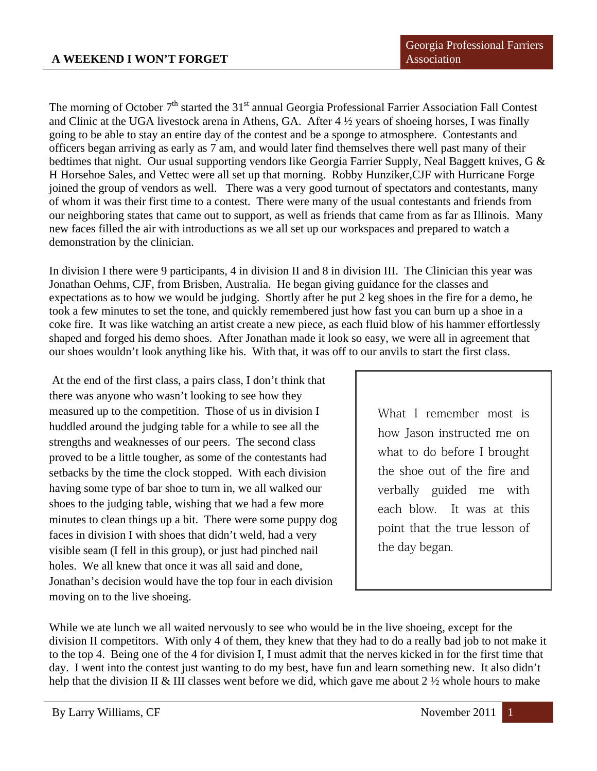The morning of October  $7<sup>th</sup>$  started the 31<sup>st</sup> annual Georgia Professional Farrier Association Fall Contest and Clinic at the UGA livestock arena in Athens, GA. After 4 ½ years of shoeing horses, I was finally going to be able to stay an entire day of the contest and be a sponge to atmosphere. Contestants and officers began arriving as early as 7 am, and would later find themselves there well past many of their bedtimes that night. Our usual supporting vendors like Georgia Farrier Supply, Neal Baggett knives, G & H Horsehoe Sales, and Vettec were all set up that morning. Robby Hunziker,CJF with Hurricane Forge joined the group of vendors as well. There was a very good turnout of spectators and contestants, many of whom it was their first time to a contest. There were many of the usual contestants and friends from our neighboring states that came out to support, as well as friends that came from as far as Illinois. Many new faces filled the air with introductions as we all set up our workspaces and prepared to watch a demonstration by the clinician.

In division I there were 9 participants, 4 in division II and 8 in division III. The Clinician this year was Jonathan Oehms, CJF, from Brisben, Australia. He began giving guidance for the classes and expectations as to how we would be judging. Shortly after he put 2 keg shoes in the fire for a demo, he took a few minutes to set the tone, and quickly remembered just how fast you can burn up a shoe in a coke fire. It was like watching an artist create a new piece, as each fluid blow of his hammer effortlessly shaped and forged his demo shoes. After Jonathan made it look so easy, we were all in agreement that our shoes wouldn't look anything like his. With that, it was off to our anvils to start the first class.

 At the end of the first class, a pairs class, I don't think that there was anyone who wasn't looking to see how they measured up to the competition. Those of us in division I huddled around the judging table for a while to see all the strengths and weaknesses of our peers. The second class proved to be a little tougher, as some of the contestants had setbacks by the time the clock stopped. With each division having some type of bar shoe to turn in, we all walked our shoes to the judging table, wishing that we had a few more minutes to clean things up a bit. There were some puppy dog faces in division I with shoes that didn't weld, had a very visible seam (I fell in this group), or just had pinched nail holes. We all knew that once it was all said and done, Jonathan's decision would have the top four in each division moving on to the live shoeing.

What I remember most is how Jason instructed me on what to do before I brought the shoe out of the fire and verbally guided me with each blow. It was at this point that the true lesson of the day began.

While we ate lunch we all waited nervously to see who would be in the live shoeing, except for the division II competitors. With only 4 of them, they knew that they had to do a really bad job to not make it to the top 4. Being one of the 4 for division I, I must admit that the nerves kicked in for the first time that day. I went into the contest just wanting to do my best, have fun and learn something new. It also didn't help that the division II & III classes went before we did, which gave me about 2  $\frac{1}{2}$  whole hours to make